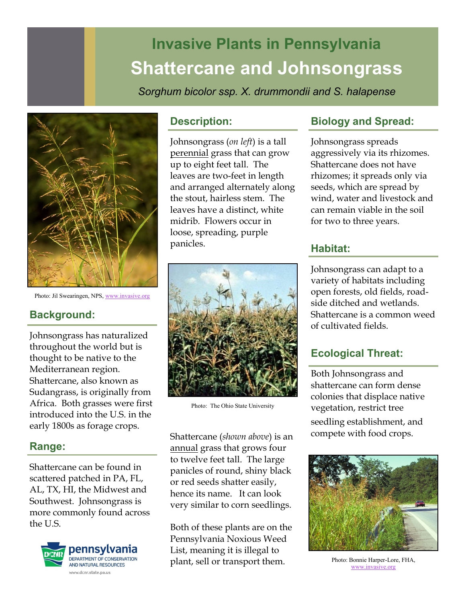# **Invasive Plants in Pennsylvania Shattercane and Johnsongrass**

*Sorghum bicolor ssp. X. drummondii and S. halapense* 



Photo: Jil Swearingen, NPS, [www.invasive.org](http://www.invasive.org/) 

# **Background:**

Johnsongrass has naturalized throughout the world but is thought to be native to the Mediterranean region. Shattercane, also known as Sudangrass, is originally from Africa. Both grasses were first introduced into the U.S. in the early 1800s as forage crops.

## **Range:**

Shattercane can be found in scattered patched in PA, FL, AL, TX, HI, the Midwest and Southwest. Johnsongrass is more commonly found across the U.S.



#### **Description:**

Johnsongrass (*on left*) is a tall perennial grass that can grow up to eight feet tall. The leaves are two-feet in length and arranged alternately along the stout, hairless stem. The leaves have a distinct, white midrib. Flowers occur in loose, spreading, purple panicles.



Photo: The Ohio State University

Shattercane (*shown above*) is an annual grass that grows four to twelve feet tall. The large panicles of round, shiny black or red seeds shatter easily, hence its name. It can look very similar to corn seedlings.

Both of these plants are on the Pennsylvania Noxious Weed List, meaning it is illegal to plant, sell or transport them.

# **Biology and Spread:**

Johnsongrass spreads aggressively via its rhizomes. Shattercane does not have rhizomes; it spreads only via seeds, which are spread by wind, water and livestock and can remain viable in the soil for two to three years.

# **Habitat:**

Johnsongrass can adapt to a variety of habitats including open forests, old fields, roadside ditched and wetlands. Shattercane is a common weed of cultivated fields.

# **Ecological Threat:**

Both Johnsongrass and shattercane can form dense colonies that displace native vegetation, restrict tree seedling establishment, and compete with food crops.



Photo: Bonnie Harper-Lore, FHA, [www.invasive.org](http://www.invasive.org/)